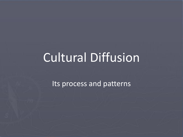# Cultural Diffusion

Its process and patterns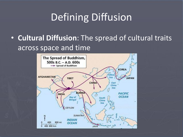# Defining Diffusion

• **Cultural Diffusion**: The spread of cultural traits across space and time

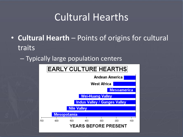# Cultural Hearths

- **Cultural Hearth**  Points of origins for cultural traits
	- Typically large population centers

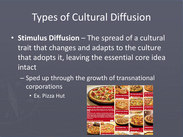# Types of Cultural Diffusion

- **Stimulus Diffusion**  The spread of a cultural trait that changes and adapts to the culture that adopts it, leaving the essential core idea intact
	- Sped up through the growth of transnational corporations
		- Ex. Pizza Hut

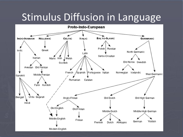# Stimulus Diffusion in Language

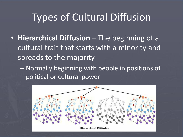# Types of Cultural Diffusion

- **Hierarchical Diffusion**  The beginning of a cultural trait that starts with a minority and spreads to the majority
	- Normally beginning with people in positions of political or cultural power

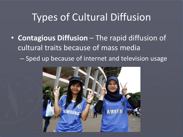# Types of Cultural Diffusion

• **Contagious Diffusion** – The rapid diffusion of cultural traits because of mass media – Sped up because of internet and television usage

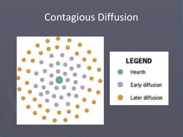# Contagious Diffusion



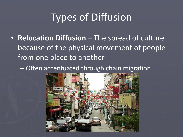# Types of Diffusion

• **Relocation Diffusion** – The spread of culture because of the physical movement of people from one place to another

– Often accentuated through chain migration

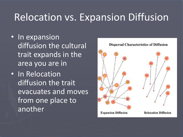# Relocation vs. Expansion Diffusion

- In expansion diffusion the cultural trait expands in the area you are in
- In Relocation diffusion the trait evacuates and moves from one place to another

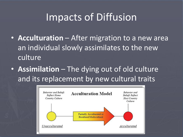- **Acculturation** After migration to a new area an individual slowly assimilates to the new culture
- **Assimilation** The dying out of old culture and its replacement by new cultural traits

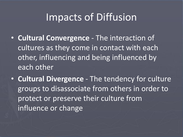- **Cultural Convergence**  The interaction of cultures as they come in contact with each other, influencing and being influenced by each other
- **Cultural Divergence**  The tendency for culture groups to disassociate from others in order to protect or preserve their culture from influence or change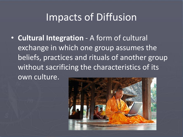• **Cultural Integration** - A form of cultural exchange in which one group assumes the beliefs, practices and rituals of another group without sacrificing the characteristics of its own culture.

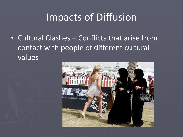• Cultural Clashes – Conflicts that arise from contact with people of different cultural values

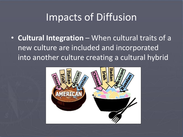• **Cultural Integration** – When cultural traits of a new culture are included and incorporated into another culture creating a cultural hybrid